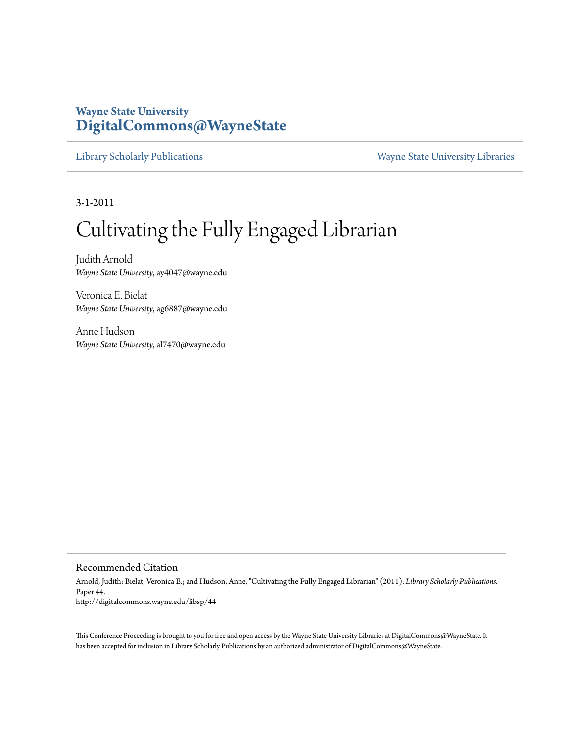## **Wayne State University [DigitalCommons@WayneState](http://digitalcommons.wayne.edu)**

[Library Scholarly Publications](http://digitalcommons.wayne.edu/libsp) [Wayne State University Libraries](http://digitalcommons.wayne.edu/libraries)

3-1-2011

# Cultivating the Fully Engaged Librarian

Judith Arnold *Wayne State University*, ay4047@wayne.edu

Veronica E. Bielat *Wayne State University*, ag6887@wayne.edu

Anne Hudson *Wayne State University*, al7470@wayne.edu

#### Recommended Citation

Arnold, Judith; Bielat, Veronica E.; and Hudson, Anne, "Cultivating the Fully Engaged Librarian" (2011). *Library Scholarly Publications.* Paper 44. http://digitalcommons.wayne.edu/libsp/44

This Conference Proceeding is brought to you for free and open access by the Wayne State University Libraries at DigitalCommons@WayneState. It has been accepted for inclusion in Library Scholarly Publications by an authorized administrator of DigitalCommons@WayneState.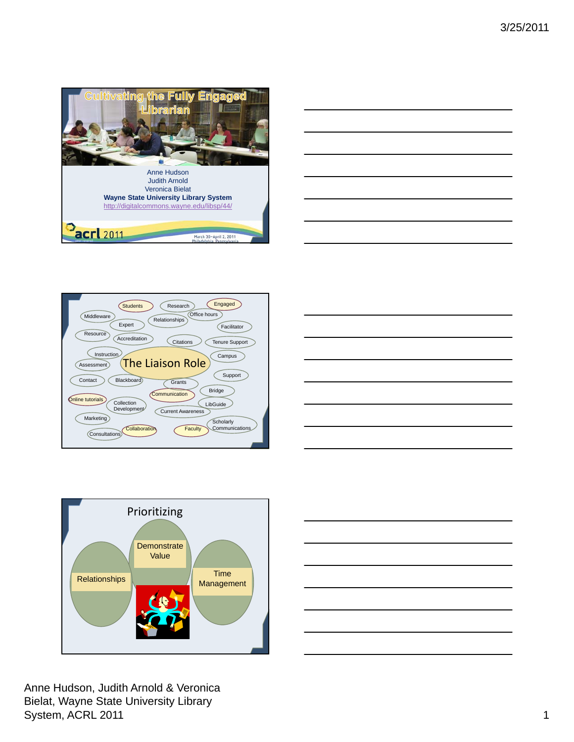









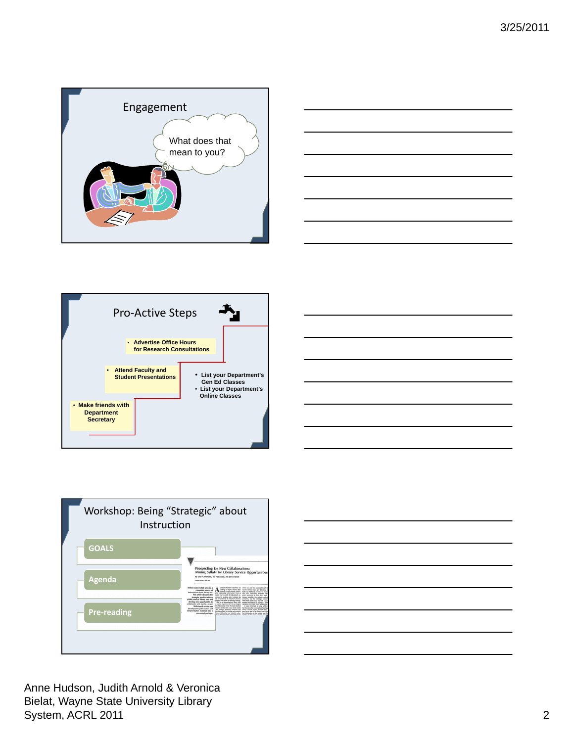









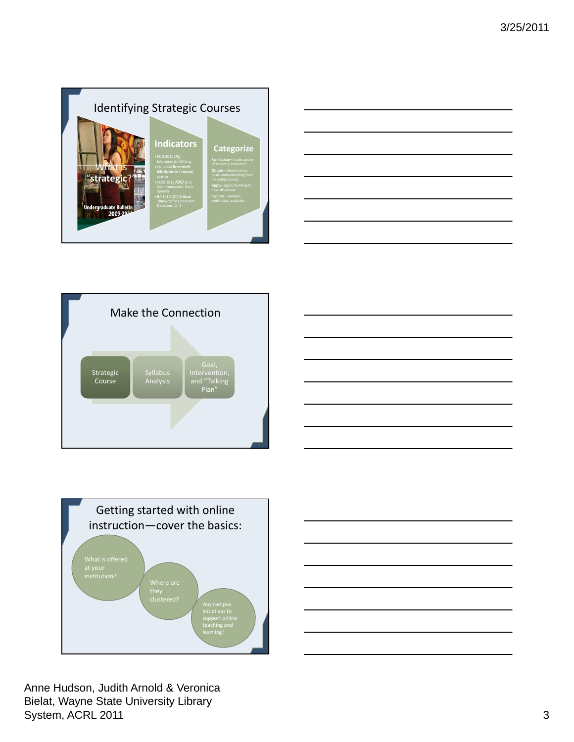









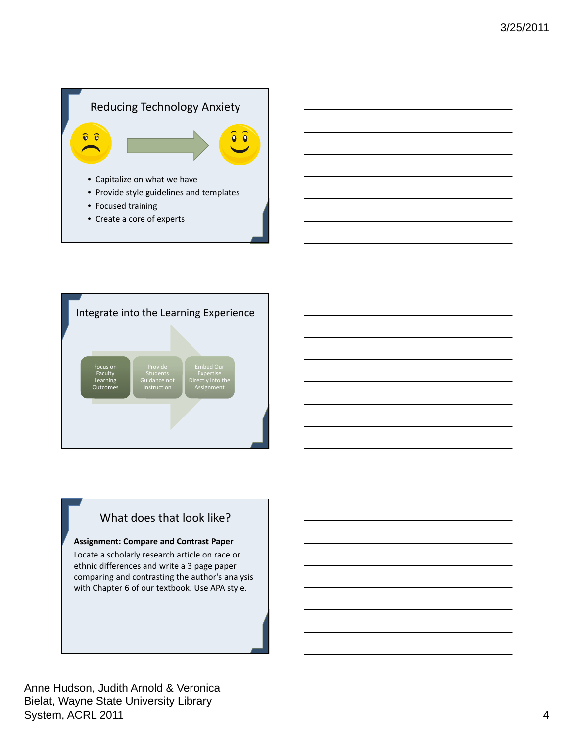

• Create a core of experts



## What does that look like?

### **Assignment: Compare and Contrast Paper**

Locate a scholarly research article on race or ethnic differences and write a 3 page paper comparing and contrasting the author's analysis with Chapter 6 of our textbook. Use APA style.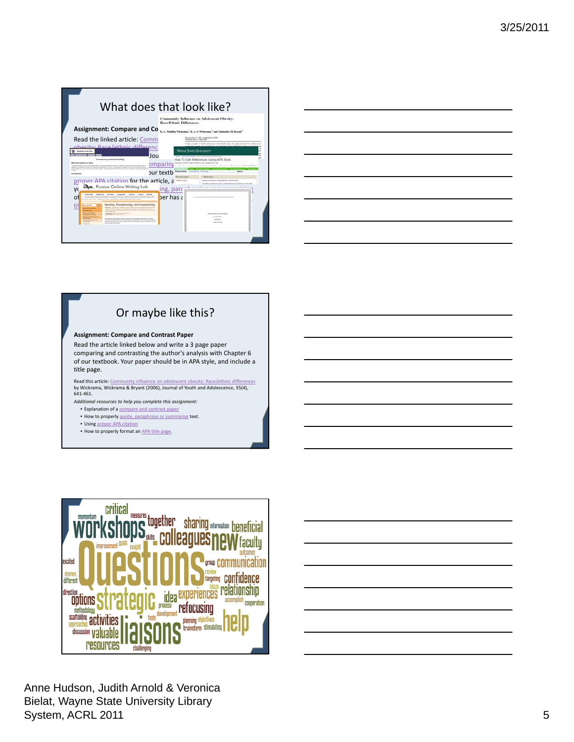



## Or maybe like this?

#### **Assignment: Compare and Contrast Paper**

Read the article linked below and write a 3 page paper comparing and contrasting the author's analysis with Chapter 6 of our textbook. Your paper should be in APA style, and include a title page.

Read this article: Community influence on adolescent obesity: Race/ethnic differences by Wickrama, Wickrama & Bryant (2006), Journal of Youth and Adolescence, 35(4), 641‐461.

*Additional resources to help you complete this assignment:* • Explanation of a compare and contrast paper

• How to properly quote, paraphrase or summarize text.

- Using proper APA citation
- How to properly format an APA title page.